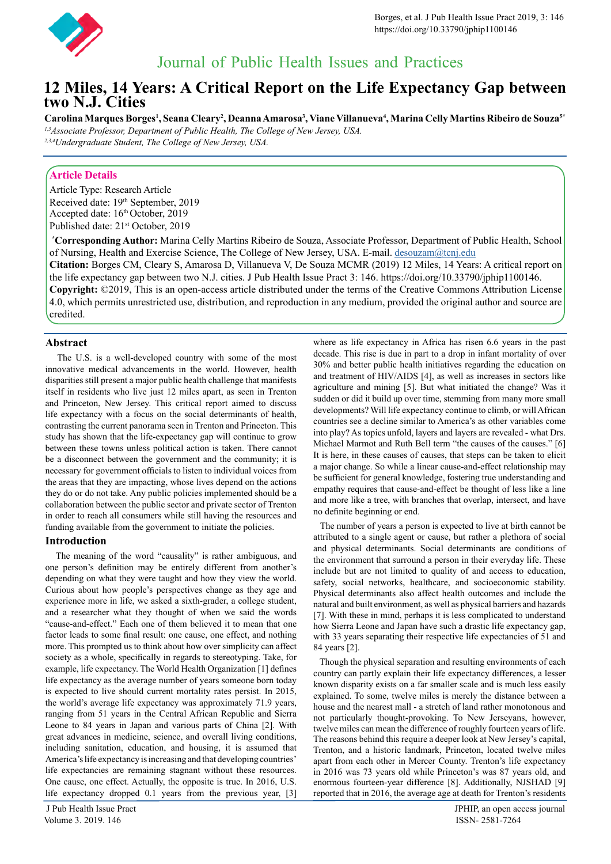

# Journal of Public Health Issues and Practices

## **12 Miles, 14 Years: A Critical Report on the Life Expectancy Gap between two N.J. Cities**

 $\bf{C}$ arolina Marques Borges<sup>1</sup>, Seana Cleary<sup>2</sup>, Deanna Amarosa<sup>3</sup>, Viane Villanueva<sup>4</sup>, Marina Celly Martins Ribeiro de Souza<sup>s</sup>\* *1,5Associate Professor, Department of Public Health, The College of New Jersey, USA.*

*2,3,4Undergraduate Student, The College of New Jersey, USA.*

### **Article Details**

Article Type: Research Article Received date: 19th September, 2019 Accepted date: 16th October, 2019 Published date: 21<sup>st</sup> October, 2019

**\* Corresponding Author:** Marina Celly Martins Ribeiro de Souza, Associate Professor, Department of Public Health, School of Nursing, Health and Exercise Science, The College of New Jersey, USA. E-mail. [desouzam@tcnj.edu](mailto:desouzam%40tcnj.edu?subject=mailto%3Adesouzam%40tcnj.edu) **Citation:** Borges CM, Cleary S, Amarosa D, Villanueva V, De Souza MCMR (2019) 12 Miles, 14 Years: A critical report on the life expectancy gap between two N.J. cities. J Pub Health Issue Pract 3: 146. https://doi.org/10.33790/jphip1100146. **Copyright:** ©2019, This is an open-access article distributed under the terms of the Creative Commons Attribution License

4.0, which permits unrestricted use, distribution, and reproduction in any medium, provided the original author and source are credited.

#### **Abstract**

 The U.S. is a well-developed country with some of the most innovative medical advancements in the world. However, health disparities still present a major public health challenge that manifests itself in residents who live just 12 miles apart, as seen in Trenton and Princeton, New Jersey. This critical report aimed to discuss life expectancy with a focus on the social determinants of health, contrasting the current panorama seen in Trenton and Princeton. This study has shown that the life-expectancy gap will continue to grow between these towns unless political action is taken. There cannot be a disconnect between the government and the community; it is necessary for government officials to listen to individual voices from the areas that they are impacting, whose lives depend on the actions they do or do not take. Any public policies implemented should be a collaboration between the public sector and private sector of Trenton in order to reach all consumers while still having the resources and funding available from the government to initiate the policies.

#### **Introduction**

 The meaning of the word "causality" is rather ambiguous, and one person's definition may be entirely different from another's depending on what they were taught and how they view the world. Curious about how people's perspectives change as they age and experience more in life, we asked a sixth-grader, a college student, and a researcher what they thought of when we said the words "cause-and-effect." Each one of them believed it to mean that one factor leads to some final result: one cause, one effect, and nothing more. This prompted us to think about how over simplicity can affect society as a whole, specifically in regards to stereotyping. Take, for example, life expectancy. The World Health Organization [1] defines life expectancy as the average number of years someone born today is expected to live should current mortality rates persist. In 2015, the world's average life expectancy was approximately 71.9 years, ranging from 51 years in the Central African Republic and Sierra Leone to 84 years in Japan and various parts of China [2]. With great advances in medicine, science, and overall living conditions, including sanitation, education, and housing, it is assumed that America's life expectancy is increasing and that developing countries' life expectancies are remaining stagnant without these resources. One cause, one effect. Actually, the opposite is true. In 2016, U.S. life expectancy dropped 0.1 years from the previous year, [3] where as life expectancy in Africa has risen 6.6 years in the past decade. This rise is due in part to a drop in infant mortality of over 30% and better public health initiatives regarding the education on and treatment of HIV/AIDS [4], as well as increases in sectors like agriculture and mining [5]. But what initiated the change? Was it sudden or did it build up over time, stemming from many more small developments? Will life expectancy continue to climb, or will African countries see a decline similar to America's as other variables come into play? As topics unfold, layers and layers are revealed - what Drs. Michael Marmot and Ruth Bell term "the causes of the causes." [6] It is here, in these causes of causes, that steps can be taken to elicit a major change. So while a linear cause-and-effect relationship may be sufficient for general knowledge, fostering true understanding and empathy requires that cause-and-effect be thought of less like a line and more like a tree, with branches that overlap, intersect, and have no definite beginning or end.

 The number of years a person is expected to live at birth cannot be attributed to a single agent or cause, but rather a plethora of social and physical determinants. Social determinants are conditions of the environment that surround a person in their everyday life. These include but are not limited to quality of and access to education, safety, social networks, healthcare, and socioeconomic stability. Physical determinants also affect health outcomes and include the natural and built environment, as well as physical barriers and hazards [7]. With these in mind, perhaps it is less complicated to understand how Sierra Leone and Japan have such a drastic life expectancy gap, with 33 years separating their respective life expectancies of 51 and 84 years [2].

 Though the physical separation and resulting environments of each country can partly explain their life expectancy differences, a lesser known disparity exists on a far smaller scale and is much less easily explained. To some, twelve miles is merely the distance between a house and the nearest mall - a stretch of land rather monotonous and not particularly thought-provoking. To New Jerseyans, however, twelve miles can mean the difference of roughly fourteen years of life. The reasons behind this require a deeper look at New Jersey's capital, Trenton, and a historic landmark, Princeton, located twelve miles apart from each other in Mercer County. Trenton's life expectancy in 2016 was 73 years old while Princeton's was 87 years old, and enormous fourteen-year difference [8]. Additionally, NJSHAD [9] reported that in 2016, the average age at death for Trenton's residents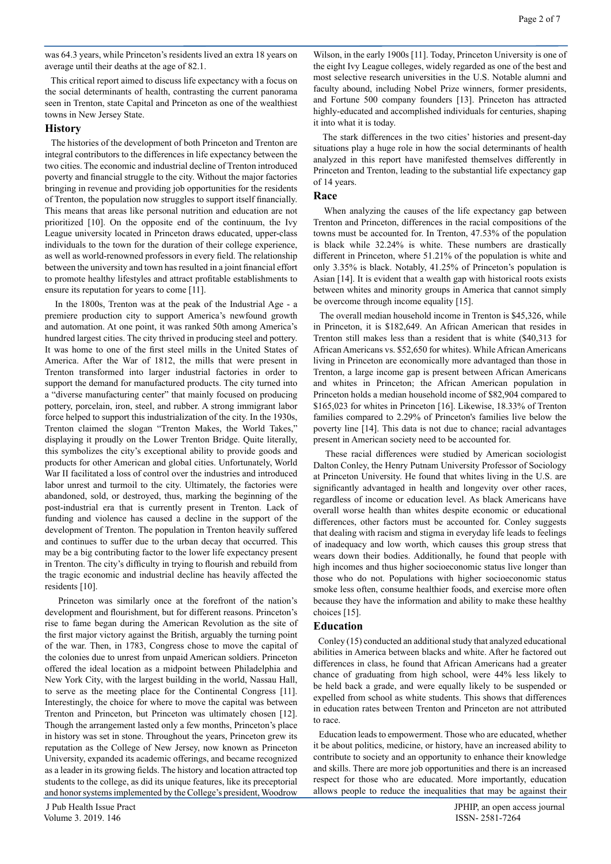was 64.3 years, while Princeton's residents lived an extra 18 years on average until their deaths at the age of 82.1.

 This critical report aimed to discuss life expectancy with a focus on the social determinants of health, contrasting the current panorama seen in Trenton, state Capital and Princeton as one of the wealthiest towns in New Jersey State.

#### **History**

 The histories of the development of both Princeton and Trenton are integral contributors to the differences in life expectancy between the two cities. The economic and industrial decline of Trenton introduced poverty and financial struggle to the city. Without the major factories bringing in revenue and providing job opportunities for the residents of Trenton, the population now struggles to support itself financially. This means that areas like personal nutrition and education are not prioritized [10]. On the opposite end of the continuum, the Ivy League university located in Princeton draws educated, upper-class individuals to the town for the duration of their college experience, as well as world-renowned professors in every field. The relationship between the university and town has resulted in a joint financial effort to promote healthy lifestyles and attract profitable establishments to ensure its reputation for years to come [11].

 In the 1800s, Trenton was at the peak of the Industrial Age - a premiere production city to support America's newfound growth and automation. At one point, it was ranked 50th among America's hundred largest cities. The city thrived in producing steel and pottery. It was home to one of the first steel mills in the United States of America. After the War of 1812, the mills that were present in Trenton transformed into larger industrial factories in order to support the demand for manufactured products. The city turned into a "diverse manufacturing center" that mainly focused on producing pottery, porcelain, iron, steel, and rubber. A strong immigrant labor force helped to support this industrialization of the city. In the 1930s, Trenton claimed the slogan "Trenton Makes, the World Takes," displaying it proudly on the Lower Trenton Bridge. Quite literally, this symbolizes the city's exceptional ability to provide goods and products for other American and global cities. Unfortunately, World War II facilitated a loss of control over the industries and introduced labor unrest and turmoil to the city. Ultimately, the factories were abandoned, sold, or destroyed, thus, marking the beginning of the post-industrial era that is currently present in Trenton. Lack of funding and violence has caused a decline in the support of the development of Trenton. The population in Trenton heavily suffered and continues to suffer due to the urban decay that occurred. This may be a big contributing factor to the lower life expectancy present in Trenton. The city's difficulty in trying to flourish and rebuild from the tragic economic and industrial decline has heavily affected the residents [10].

 Princeton was similarly once at the forefront of the nation's development and flourishment, but for different reasons. Princeton's rise to fame began during the American Revolution as the site of the first major victory against the British, arguably the turning point of the war. Then, in 1783, Congress chose to move the capital of the colonies due to unrest from unpaid American soldiers. Princeton offered the ideal location as a midpoint between Philadelphia and New York City, with the largest building in the world, Nassau Hall, to serve as the meeting place for the Continental Congress [11]. Interestingly, the choice for where to move the capital was between Trenton and Princeton, but Princeton was ultimately chosen [12]. Though the arrangement lasted only a few months, Princeton's place in history was set in stone. Throughout the years, Princeton grew its reputation as the College of New Jersey, now known as Princeton University, expanded its academic offerings, and became recognized as a leader in its growing fields. The history and location attracted top students to the college, as did its unique features, like its preceptorial and honor systems implemented by the College's president, Woodrow

Wilson, in the early 1900s [11]. Today, Princeton University is one of the eight Ivy League colleges, widely regarded as one of the best and most selective research universities in the U.S. Notable alumni and faculty abound, including Nobel Prize winners, former presidents, and Fortune 500 company founders [13]. Princeton has attracted highly-educated and accomplished individuals for centuries, shaping it into what it is today.

 The stark differences in the two cities' histories and present-day situations play a huge role in how the social determinants of health analyzed in this report have manifested themselves differently in Princeton and Trenton, leading to the substantial life expectancy gap of 14 years.

#### **Race**

 When analyzing the causes of the life expectancy gap between Trenton and Princeton, differences in the racial compositions of the towns must be accounted for. In Trenton, 47.53% of the population is black while 32.24% is white. These numbers are drastically different in Princeton, where 51.21% of the population is white and only 3.35% is black. Notably, 41.25% of Princeton's population is Asian [14]. It is evident that a wealth gap with historical roots exists between whites and minority groups in America that cannot simply be overcome through income equality [15].

 The overall median household income in Trenton is \$45,326, while in Princeton, it is \$182,649. An African American that resides in Trenton still makes less than a resident that is white (\$40,313 for African Americans vs. \$52,650 for whites). While African Americans living in Princeton are economically more advantaged than those in Trenton, a large income gap is present between African Americans and whites in Princeton; the African American population in Princeton holds a median household income of \$82,904 compared to \$165,023 for whites in Princeton [16]. Likewise, 18.33% of Trenton families compared to 2.29% of Princeton's families live below the poverty line [14]. This data is not due to chance; racial advantages present in American society need to be accounted for.

 These racial differences were studied by American sociologist Dalton Conley, the Henry Putnam University Professor of Sociology at Princeton University. He found that whites living in the U.S. are significantly advantaged in health and longevity over other races, regardless of income or education level. As black Americans have overall worse health than whites despite economic or educational differences, other factors must be accounted for. Conley suggests that dealing with racism and stigma in everyday life leads to feelings of inadequacy and low worth, which causes this group stress that wears down their bodies. Additionally, he found that people with high incomes and thus higher socioeconomic status live longer than those who do not. Populations with higher socioeconomic status smoke less often, consume healthier foods, and exercise more often because they have the information and ability to make these healthy choices [15].

#### **Education**

 Conley (15) conducted an additional study that analyzed educational abilities in America between blacks and white. After he factored out differences in class, he found that African Americans had a greater chance of graduating from high school, were 44% less likely to be held back a grade, and were equally likely to be suspended or expelled from school as white students. This shows that differences in education rates between Trenton and Princeton are not attributed to race.

 Education leads to empowerment. Those who are educated, whether it be about politics, medicine, or history, have an increased ability to contribute to society and an opportunity to enhance their knowledge and skills. There are more job opportunities and there is an increased respect for those who are educated. More importantly, education allows people to reduce the inequalities that may be against their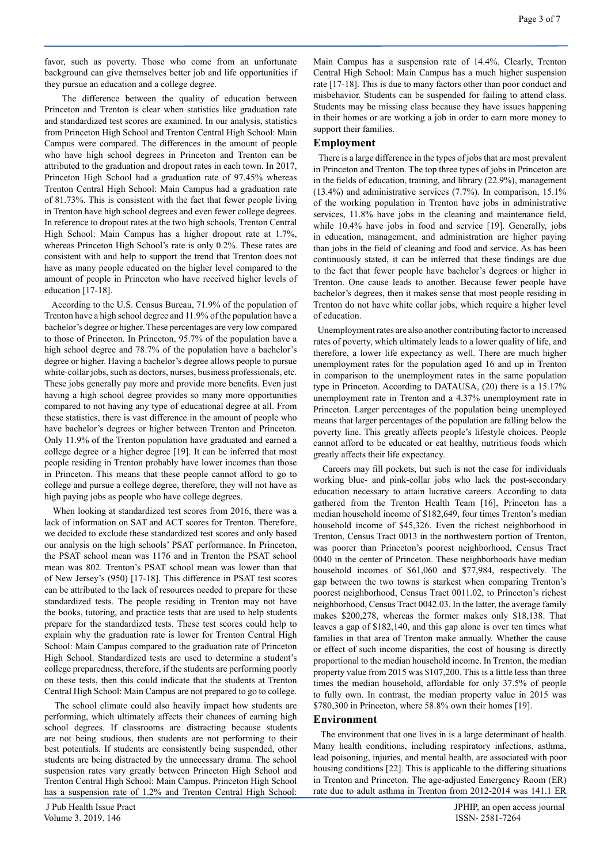favor, such as poverty. Those who come from an unfortunate background can give themselves better job and life opportunities if they pursue an education and a college degree.

 The difference between the quality of education between Princeton and Trenton is clear when statistics like graduation rate and standardized test scores are examined. In our analysis, statistics from Princeton High School and Trenton Central High School: Main Campus were compared. The differences in the amount of people who have high school degrees in Princeton and Trenton can be attributed to the graduation and dropout rates in each town. In 2017, Princeton High School had a graduation rate of 97.45% whereas Trenton Central High School: Main Campus had a graduation rate of 81.73%. This is consistent with the fact that fewer people living in Trenton have high school degrees and even fewer college degrees. In reference to dropout rates at the two high schools, Trenton Central High School: Main Campus has a higher dropout rate at 1.7%, whereas Princeton High School's rate is only 0.2%. These rates are consistent with and help to support the trend that Trenton does not have as many people educated on the higher level compared to the amount of people in Princeton who have received higher levels of education [17-18].

 According to the U.S. Census Bureau, 71.9% of the population of Trenton have a high school degree and 11.9% of the population have a bachelor's degree or higher. These percentages are very low compared to those of Princeton. In Princeton, 95.7% of the population have a high school degree and 78.7% of the population have a bachelor's degree or higher. Having a bachelor's degree allows people to pursue white-collar jobs, such as doctors, nurses, business professionals, etc. These jobs generally pay more and provide more benefits. Even just having a high school degree provides so many more opportunities compared to not having any type of educational degree at all. From these statistics, there is vast difference in the amount of people who have bachelor's degrees or higher between Trenton and Princeton. Only 11.9% of the Trenton population have graduated and earned a college degree or a higher degree [19]. It can be inferred that most people residing in Trenton probably have lower incomes than those in Princeton. This means that these people cannot afford to go to college and pursue a college degree, therefore, they will not have as high paying jobs as people who have college degrees.

 When looking at standardized test scores from 2016, there was a lack of information on SAT and ACT scores for Trenton. Therefore, we decided to exclude these standardized test scores and only based our analysis on the high schools' PSAT performance. In Princeton, the PSAT school mean was 1176 and in Trenton the PSAT school mean was 802. Trenton's PSAT school mean was lower than that of New Jersey's (950) [17-18]. This difference in PSAT test scores can be attributed to the lack of resources needed to prepare for these standardized tests. The people residing in Trenton may not have the books, tutoring, and practice tests that are used to help students prepare for the standardized tests. These test scores could help to explain why the graduation rate is lower for Trenton Central High School: Main Campus compared to the graduation rate of Princeton High School. Standardized tests are used to determine a student's college preparedness, therefore, if the students are performing poorly on these tests, then this could indicate that the students at Trenton Central High School: Main Campus are not prepared to go to college.

 The school climate could also heavily impact how students are performing, which ultimately affects their chances of earning high school degrees. If classrooms are distracting because students are not being studious, then students are not performing to their best potentials. If students are consistently being suspended, other students are being distracted by the unnecessary drama. The school suspension rates vary greatly between Princeton High School and Trenton Central High School: Main Campus. Princeton High School has a suspension rate of 1.2% and Trenton Central High School: Main Campus has a suspension rate of 14.4%. Clearly, Trenton Central High School: Main Campus has a much higher suspension rate [17-18]. This is due to many factors other than poor conduct and misbehavior. Students can be suspended for failing to attend class. Students may be missing class because they have issues happening in their homes or are working a job in order to earn more money to support their families.

#### **Employment**

 There is a large difference in the types of jobs that are most prevalent in Princeton and Trenton. The top three types of jobs in Princeton are in the fields of education, training, and library (22.9%), management  $(13.4\%)$  and administrative services  $(7.7\%)$ . In comparison,  $15.1\%$ of the working population in Trenton have jobs in administrative services, 11.8% have jobs in the cleaning and maintenance field, while 10.4% have jobs in food and service [19]. Generally, jobs in education, management, and administration are higher paying than jobs in the field of cleaning and food and service. As has been continuously stated, it can be inferred that these findings are due to the fact that fewer people have bachelor's degrees or higher in Trenton. One cause leads to another. Because fewer people have bachelor's degrees, then it makes sense that most people residing in Trenton do not have white collar jobs, which require a higher level of education.

 Unemployment rates are also another contributing factor to increased rates of poverty, which ultimately leads to a lower quality of life, and therefore, a lower life expectancy as well. There are much higher unemployment rates for the population aged 16 and up in Trenton in comparison to the unemployment rates in the same population type in Princeton. According to DATAUSA, (20) there is a 15.17% unemployment rate in Trenton and a 4.37% unemployment rate in Princeton. Larger percentages of the population being unemployed means that larger percentages of the population are falling below the poverty line. This greatly affects people's lifestyle choices. People cannot afford to be educated or eat healthy, nutritious foods which greatly affects their life expectancy.

 Careers may fill pockets, but such is not the case for individuals working blue- and pink-collar jobs who lack the post-secondary education necessary to attain lucrative careers. According to data gathered from the Trenton Health Team [16], Princeton has a median household income of \$182,649, four times Trenton's median household income of \$45,326. Even the richest neighborhood in Trenton, Census Tract 0013 in the northwestern portion of Trenton, was poorer than Princeton's poorest neighborhood, Census Tract 0040 in the center of Princeton. These neighborhoods have median household incomes of \$61,060 and \$77,984, respectively. The gap between the two towns is starkest when comparing Trenton's poorest neighborhood, Census Tract 0011.02, to Princeton's richest neighborhood, Census Tract 0042.03. In the latter, the average family makes \$200,278, whereas the former makes only \$18,138. That leaves a gap of \$182,140, and this gap alone is over ten times what families in that area of Trenton make annually. Whether the cause or effect of such income disparities, the cost of housing is directly proportional to the median household income. In Trenton, the median property value from 2015 was \$107,200. This is a little less than three times the median household, affordable for only 37.5% of people to fully own. In contrast, the median property value in 2015 was \$780,300 in Princeton, where 58.8% own their homes [19].

#### **Environment**

 The environment that one lives in is a large determinant of health. Many health conditions, including respiratory infections, asthma, lead poisoning, injuries, and mental health, are associated with poor housing conditions [22]. This is applicable to the differing situations in Trenton and Princeton. The age-adjusted Emergency Room (ER) rate due to adult asthma in Trenton from 2012-2014 was 141.1 ER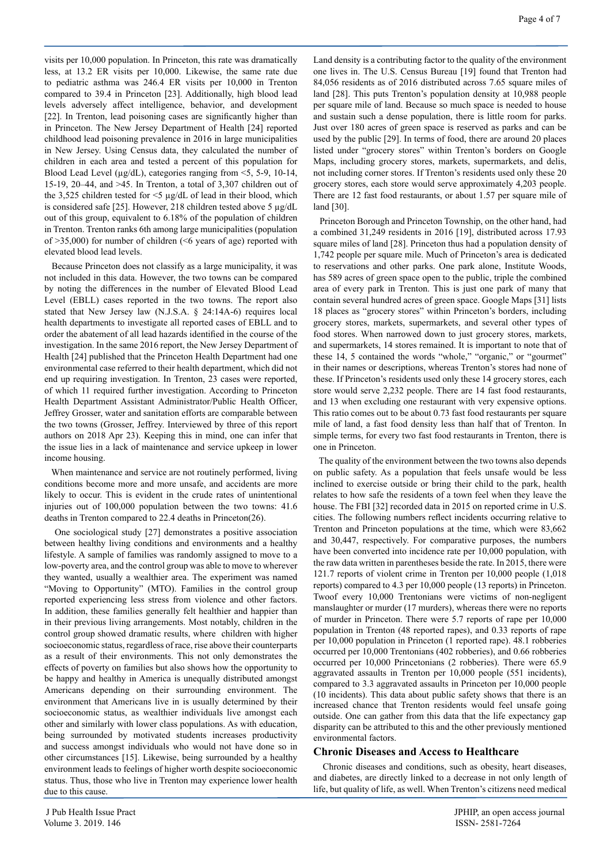visits per 10,000 population. In Princeton, this rate was dramatically less, at 13.2 ER visits per 10,000. Likewise, the same rate due to pediatric asthma was 246.4 ER visits per 10,000 in Trenton compared to 39.4 in Princeton [23]. Additionally, high blood lead levels adversely affect intelligence, behavior, and development [22]. In Trenton, lead poisoning cases are significantly higher than in Princeton. The New Jersey Department of Health [24] reported childhood lead poisoning prevalence in 2016 in large municipalities in New Jersey. Using Census data, they calculated the number of children in each area and tested a percent of this population for Blood Lead Level ( $\mu$ g/dL), categories ranging from <5, 5-9, 10-14, 15-19, 20–44, and >45. In Trenton, a total of 3,307 children out of the 3,525 children tested for <5 µg/dL of lead in their blood, which is considered safe [25]. However, 218 children tested above 5 µg/dL out of this group, equivalent to 6.18% of the population of children in Trenton. Trenton ranks 6th among large municipalities (population of  $>35,000$ ) for number of children ( $<$ 6 years of age) reported with elevated blood lead levels.

 Because Princeton does not classify as a large municipality, it was not included in this data. However, the two towns can be compared by noting the differences in the number of Elevated Blood Lead Level (EBLL) cases reported in the two towns. The report also stated that New Jersey law (N.J.S.A. § 24:14A-6) requires local health departments to investigate all reported cases of EBLL and to order the abatement of all lead hazards identified in the course of the investigation. In the same 2016 report, the New Jersey Department of Health [24] published that the Princeton Health Department had one environmental case referred to their health department, which did not end up requiring investigation. In Trenton, 23 cases were reported, of which 11 required further investigation. According to Princeton Health Department Assistant Administrator/Public Health Officer, Jeffrey Grosser, water and sanitation efforts are comparable between the two towns (Grosser, Jeffrey. Interviewed by three of this report authors on 2018 Apr 23). Keeping this in mind, one can infer that the issue lies in a lack of maintenance and service upkeep in lower income housing.

 When maintenance and service are not routinely performed, living conditions become more and more unsafe, and accidents are more likely to occur. This is evident in the crude rates of unintentional injuries out of 100,000 population between the two towns: 41.6 deaths in Trenton compared to 22.4 deaths in Princeton(26).

 One sociological study [27] demonstrates a positive association between healthy living conditions and environments and a healthy lifestyle. A sample of families was randomly assigned to move to a low-poverty area, and the control group was able to move to wherever they wanted, usually a wealthier area. The experiment was named "Moving to Opportunity" (MTO). Families in the control group reported experiencing less stress from violence and other factors. In addition, these families generally felt healthier and happier than in their previous living arrangements. Most notably, children in the control group showed dramatic results, where children with higher socioeconomic status, regardless of race, rise above their counterparts as a result of their environments. This not only demonstrates the effects of poverty on families but also shows how the opportunity to be happy and healthy in America is unequally distributed amongst Americans depending on their surrounding environment. The environment that Americans live in is usually determined by their socioeconomic status, as wealthier individuals live amongst each other and similarly with lower class populations. As with education, being surrounded by motivated students increases productivity and success amongst individuals who would not have done so in other circumstances [15]. Likewise, being surrounded by a healthy environment leads to feelings of higher worth despite socioeconomic status. Thus, those who live in Trenton may experience lower health due to this cause.

Land density is a contributing factor to the quality of the environment one lives in. The U.S. Census Bureau [19] found that Trenton had 84,056 residents as of 2016 distributed across 7.65 square miles of land [28]. This puts Trenton's population density at 10,988 people per square mile of land. Because so much space is needed to house and sustain such a dense population, there is little room for parks. Just over 180 acres of green space is reserved as parks and can be used by the public [29]. In terms of food, there are around 20 places listed under "grocery stores" within Trenton's borders on Google Maps, including grocery stores, markets, supermarkets, and delis, not including corner stores. If Trenton's residents used only these 20 grocery stores, each store would serve approximately 4,203 people. There are 12 fast food restaurants, or about 1.57 per square mile of land [30].

 Princeton Borough and Princeton Township, on the other hand, had a combined 31,249 residents in 2016 [19], distributed across 17.93 square miles of land [28]. Princeton thus had a population density of 1,742 people per square mile. Much of Princeton's area is dedicated to reservations and other parks. One park alone, Institute Woods, has 589 acres of green space open to the public, triple the combined area of every park in Trenton. This is just one park of many that contain several hundred acres of green space. Google Maps [31] lists 18 places as "grocery stores" within Princeton's borders, including grocery stores, markets, supermarkets, and several other types of food stores. When narrowed down to just grocery stores, markets, and supermarkets, 14 stores remained. It is important to note that of these 14, 5 contained the words "whole," "organic," or "gourmet" in their names or descriptions, whereas Trenton's stores had none of these. If Princeton's residents used only these 14 grocery stores, each store would serve 2,232 people. There are 14 fast food restaurants, and 13 when excluding one restaurant with very expensive options. This ratio comes out to be about 0.73 fast food restaurants per square mile of land, a fast food density less than half that of Trenton. In simple terms, for every two fast food restaurants in Trenton, there is one in Princeton.

 The quality of the environment between the two towns also depends on public safety. As a population that feels unsafe would be less inclined to exercise outside or bring their child to the park, health relates to how safe the residents of a town feel when they leave the house. The FBI [32] recorded data in 2015 on reported crime in U.S. cities. The following numbers reflect incidents occurring relative to Trenton and Princeton populations at the time, which were 83,662 and 30,447, respectively. For comparative purposes, the numbers have been converted into incidence rate per 10,000 population, with the raw data written in parentheses beside the rate. In 2015, there were 121.7 reports of violent crime in Trenton per 10,000 people (1,018 reports) compared to 4.3 per 10,000 people (13 reports) in Princeton. Twoof every 10,000 Trentonians were victims of non-negligent manslaughter or murder (17 murders), whereas there were no reports of murder in Princeton. There were 5.7 reports of rape per 10,000 population in Trenton (48 reported rapes), and 0.33 reports of rape per 10,000 population in Princeton (1 reported rape). 48.1 robberies occurred per 10,000 Trentonians (402 robberies), and 0.66 robberies occurred per 10,000 Princetonians (2 robberies). There were 65.9 aggravated assaults in Trenton per 10,000 people (551 incidents), compared to 3.3 aggravated assaults in Princeton per 10,000 people (10 incidents). This data about public safety shows that there is an increased chance that Trenton residents would feel unsafe going outside. One can gather from this data that the life expectancy gap disparity can be attributed to this and the other previously mentioned environmental factors.

#### **Chronic Diseases and Access to Healthcare**

 Chronic diseases and conditions, such as obesity, heart diseases, and diabetes, are directly linked to a decrease in not only length of life, but quality of life, as well. When Trenton's citizens need medical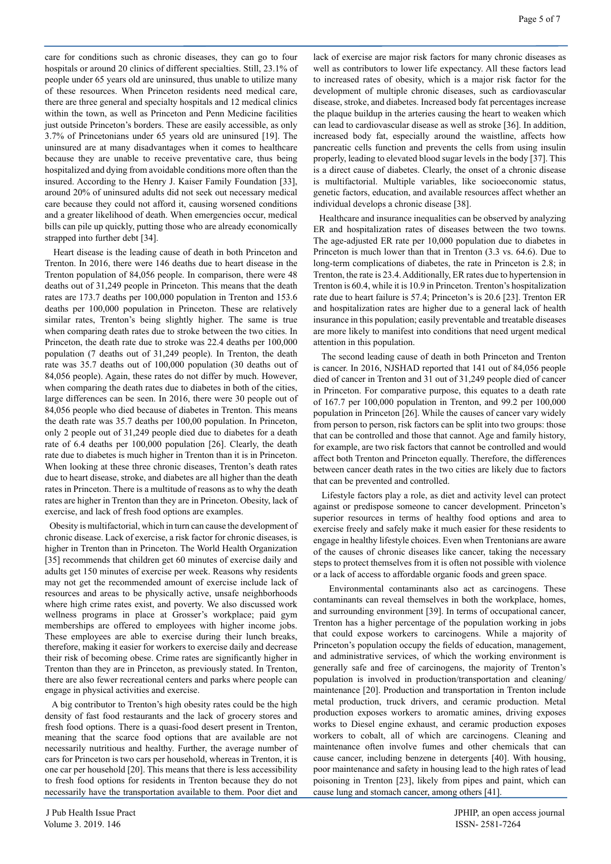care for conditions such as chronic diseases, they can go to four hospitals or around 20 clinics of different specialties. Still, 23.1% of people under 65 years old are uninsured, thus unable to utilize many of these resources. When Princeton residents need medical care, there are three general and specialty hospitals and 12 medical clinics within the town, as well as Princeton and Penn Medicine facilities just outside Princeton's borders. These are easily accessible, as only 3.7% of Princetonians under 65 years old are uninsured [19]. The uninsured are at many disadvantages when it comes to healthcare because they are unable to receive preventative care, thus being hospitalized and dying from avoidable conditions more often than the insured. According to the Henry J. Kaiser Family Foundation [33], around 20% of uninsured adults did not seek out necessary medical care because they could not afford it, causing worsened conditions and a greater likelihood of death. When emergencies occur, medical bills can pile up quickly, putting those who are already economically strapped into further debt [34].

 Heart disease is the leading cause of death in both Princeton and Trenton. In 2016, there were 146 deaths due to heart disease in the Trenton population of 84,056 people. In comparison, there were 48 deaths out of 31,249 people in Princeton. This means that the death rates are 173.7 deaths per 100,000 population in Trenton and 153.6 deaths per 100,000 population in Princeton. These are relatively similar rates, Trenton's being slightly higher. The same is true when comparing death rates due to stroke between the two cities. In Princeton, the death rate due to stroke was 22.4 deaths per 100,000 population (7 deaths out of 31,249 people). In Trenton, the death rate was 35.7 deaths out of 100,000 population (30 deaths out of 84,056 people). Again, these rates do not differ by much. However, when comparing the death rates due to diabetes in both of the cities, large differences can be seen. In 2016, there were 30 people out of 84,056 people who died because of diabetes in Trenton. This means the death rate was 35.7 deaths per 100,00 population. In Princeton, only 2 people out of 31,249 people died due to diabetes for a death rate of 6.4 deaths per 100,000 population [26]. Clearly, the death rate due to diabetes is much higher in Trenton than it is in Princeton. When looking at these three chronic diseases, Trenton's death rates due to heart disease, stroke, and diabetes are all higher than the death rates in Princeton. There is a multitude of reasons as to why the death rates are higher in Trenton than they are in Princeton. Obesity, lack of exercise, and lack of fresh food options are examples.

 Obesity is multifactorial, which in turn can cause the development of chronic disease. Lack of exercise, a risk factor for chronic diseases, is higher in Trenton than in Princeton. The World Health Organization [35] recommends that children get 60 minutes of exercise daily and adults get 150 minutes of exercise per week. Reasons why residents may not get the recommended amount of exercise include lack of resources and areas to be physically active, unsafe neighborhoods where high crime rates exist, and poverty. We also discussed work wellness programs in place at Grosser's workplace; paid gym memberships are offered to employees with higher income jobs. These employees are able to exercise during their lunch breaks, therefore, making it easier for workers to exercise daily and decrease their risk of becoming obese. Crime rates are significantly higher in Trenton than they are in Princeton, as previously stated. In Trenton, there are also fewer recreational centers and parks where people can engage in physical activities and exercise.

 A big contributor to Trenton's high obesity rates could be the high density of fast food restaurants and the lack of grocery stores and fresh food options. There is a quasi-food desert present in Trenton, meaning that the scarce food options that are available are not necessarily nutritious and healthy. Further, the average number of cars for Princeton is two cars per household, whereas in Trenton, it is one car per household [20]. This means that there is less accessibility to fresh food options for residents in Trenton because they do not necessarily have the transportation available to them. Poor diet and lack of exercise are major risk factors for many chronic diseases as well as contributors to lower life expectancy. All these factors lead to increased rates of obesity, which is a major risk factor for the development of multiple chronic diseases, such as cardiovascular disease, stroke, and diabetes. Increased body fat percentages increase the plaque buildup in the arteries causing the heart to weaken which can lead to cardiovascular disease as well as stroke [36]. In addition, increased body fat, especially around the waistline, affects how pancreatic cells function and prevents the cells from using insulin properly, leading to elevated blood sugar levels in the body [37]. This is a direct cause of diabetes. Clearly, the onset of a chronic disease is multifactorial. Multiple variables, like socioeconomic status, genetic factors, education, and available resources affect whether an individual develops a chronic disease [38].

 Healthcare and insurance inequalities can be observed by analyzing ER and hospitalization rates of diseases between the two towns. The age-adjusted ER rate per 10,000 population due to diabetes in Princeton is much lower than that in Trenton (3.3 vs. 64.6). Due to long-term complications of diabetes, the rate in Princeton is 2.8; in Trenton, the rate is 23.4. Additionally, ER rates due to hypertension in Trenton is 60.4, while it is 10.9 in Princeton. Trenton's hospitalization rate due to heart failure is 57.4; Princeton's is 20.6 [23]. Trenton ER and hospitalization rates are higher due to a general lack of health insurance in this population; easily preventable and treatable diseases are more likely to manifest into conditions that need urgent medical attention in this population.

 The second leading cause of death in both Princeton and Trenton is cancer. In 2016, NJSHAD reported that 141 out of 84,056 people died of cancer in Trenton and 31 out of 31,249 people died of cancer in Princeton. For comparative purpose, this equates to a death rate of 167.7 per 100,000 population in Trenton, and 99.2 per 100,000 population in Princeton [26]. While the causes of cancer vary widely from person to person, risk factors can be split into two groups: those that can be controlled and those that cannot. Age and family history, for example, are two risk factors that cannot be controlled and would affect both Trenton and Princeton equally. Therefore, the differences between cancer death rates in the two cities are likely due to factors that can be prevented and controlled.

 Lifestyle factors play a role, as diet and activity level can protect against or predispose someone to cancer development. Princeton's superior resources in terms of healthy food options and area to exercise freely and safely make it much easier for these residents to engage in healthy lifestyle choices. Even when Trentonians are aware of the causes of chronic diseases like cancer, taking the necessary steps to protect themselves from it is often not possible with violence or a lack of access to affordable organic foods and green space.

 Environmental contaminants also act as carcinogens. These contaminants can reveal themselves in both the workplace, homes, and surrounding environment [39]. In terms of occupational cancer, Trenton has a higher percentage of the population working in jobs that could expose workers to carcinogens. While a majority of Princeton's population occupy the fields of education, management, and administrative services, of which the working environment is generally safe and free of carcinogens, the majority of Trenton's population is involved in production/transportation and cleaning/ maintenance [20]. Production and transportation in Trenton include metal production, truck drivers, and ceramic production. Metal production exposes workers to aromatic amines, driving exposes works to Diesel engine exhaust, and ceramic production exposes workers to cobalt, all of which are carcinogens. Cleaning and maintenance often involve fumes and other chemicals that can cause cancer, including benzene in detergents [40]. With housing, poor maintenance and safety in housing lead to the high rates of lead poisoning in Trenton [23], likely from pipes and paint, which can cause lung and stomach cancer, among others [41].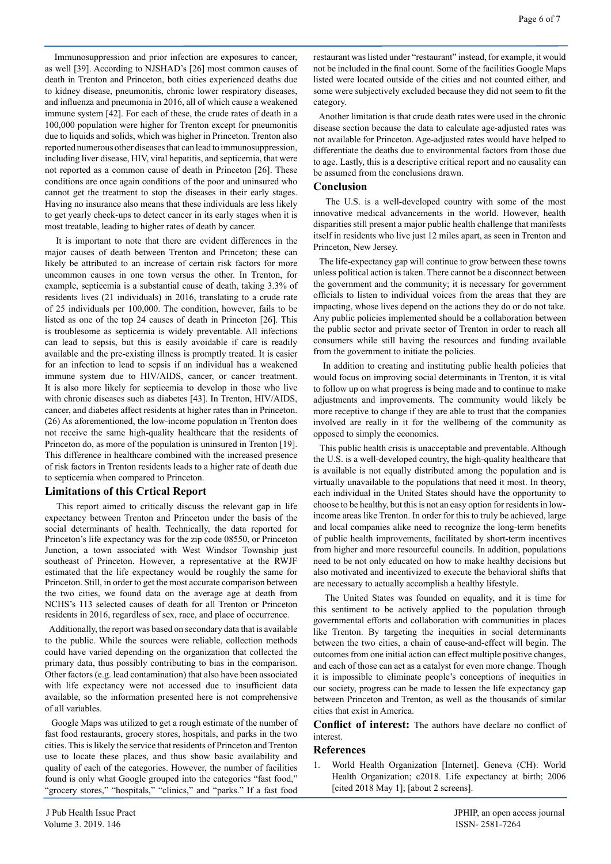Immunosuppression and prior infection are exposures to cancer, as well [39]. According to NJSHAD's [26] most common causes of death in Trenton and Princeton, both cities experienced deaths due to kidney disease, pneumonitis, chronic lower respiratory diseases, and influenza and pneumonia in 2016, all of which cause a weakened immune system [42]. For each of these, the crude rates of death in a 100,000 population were higher for Trenton except for pneumonitis due to liquids and solids, which was higher in Princeton. Trenton also reported numerous other diseases that can lead to immunosuppression, including liver disease, HIV, viral hepatitis, and septicemia, that were not reported as a common cause of death in Princeton [26]. These conditions are once again conditions of the poor and uninsured who cannot get the treatment to stop the diseases in their early stages. Having no insurance also means that these individuals are less likely to get yearly check-ups to detect cancer in its early stages when it is most treatable, leading to higher rates of death by cancer.

 It is important to note that there are evident differences in the major causes of death between Trenton and Princeton; these can likely be attributed to an increase of certain risk factors for more uncommon causes in one town versus the other. In Trenton, for example, septicemia is a substantial cause of death, taking 3.3% of residents lives (21 individuals) in 2016, translating to a crude rate of 25 individuals per 100,000. The condition, however, fails to be listed as one of the top 24 causes of death in Princeton [26]. This is troublesome as septicemia is widely preventable. All infections can lead to sepsis, but this is easily avoidable if care is readily available and the pre-existing illness is promptly treated. It is easier for an infection to lead to sepsis if an individual has a weakened immune system due to HIV/AIDS, cancer, or cancer treatment. It is also more likely for septicemia to develop in those who live with chronic diseases such as diabetes [43]. In Trenton, HIV/AIDS, cancer, and diabetes affect residents at higher rates than in Princeton. (26) As aforementioned, the low-income population in Trenton does not receive the same high-quality healthcare that the residents of Princeton do, as more of the population is uninsured in Trenton [19]. This difference in healthcare combined with the increased presence of risk factors in Trenton residents leads to a higher rate of death due to septicemia when compared to Princeton.

#### **Limitations of this Crtical Report**

 This report aimed to critically discuss the relevant gap in life expectancy between Trenton and Princeton under the basis of the social determinants of health. Technically, the data reported for Princeton's life expectancy was for the zip code 08550, or Princeton Junction, a town associated with West Windsor Township just southeast of Princeton. However, a representative at the RWJF estimated that the life expectancy would be roughly the same for Princeton. Still, in order to get the most accurate comparison between the two cities, we found data on the average age at death from NCHS's 113 selected causes of death for all Trenton or Princeton residents in 2016, regardless of sex, race, and place of occurrence.

 Additionally, the report was based on secondary data that is available to the public. While the sources were reliable, collection methods could have varied depending on the organization that collected the primary data, thus possibly contributing to bias in the comparison. Other factors (e.g. lead contamination) that also have been associated with life expectancy were not accessed due to insufficient data available, so the information presented here is not comprehensive of all variables.

 Google Maps was utilized to get a rough estimate of the number of fast food restaurants, grocery stores, hospitals, and parks in the two cities. This is likely the service that residents of Princeton and Trenton use to locate these places, and thus show basic availability and quality of each of the categories. However, the number of facilities found is only what Google grouped into the categories "fast food," "grocery stores," "hospitals," "clinics," and "parks." If a fast food restaurant was listed under "restaurant" instead, for example, it would not be included in the final count. Some of the facilities Google Maps listed were located outside of the cities and not counted either, and some were subjectively excluded because they did not seem to fit the category.

 Another limitation is that crude death rates were used in the chronic disease section because the data to calculate age-adjusted rates was not available for Princeton. Age-adjusted rates would have helped to differentiate the deaths due to environmental factors from those due to age. Lastly, this is a descriptive critical report and no causality can be assumed from the conclusions drawn.

#### **Conclusion**

 The U.S. is a well-developed country with some of the most innovative medical advancements in the world. However, health disparities still present a major public health challenge that manifests itself in residents who live just 12 miles apart, as seen in Trenton and Princeton, New Jersey.

 The life-expectancy gap will continue to grow between these towns unless political action is taken. There cannot be a disconnect between the government and the community; it is necessary for government officials to listen to individual voices from the areas that they are impacting, whose lives depend on the actions they do or do not take. Any public policies implemented should be a collaboration between the public sector and private sector of Trenton in order to reach all consumers while still having the resources and funding available from the government to initiate the policies.

 In addition to creating and instituting public health policies that would focus on improving social determinants in Trenton, it is vital to follow up on what progress is being made and to continue to make adjustments and improvements. The community would likely be more receptive to change if they are able to trust that the companies involved are really in it for the wellbeing of the community as opposed to simply the economics.

 This public health crisis is unacceptable and preventable. Although the U.S. is a well-developed country, the high-quality healthcare that is available is not equally distributed among the population and is virtually unavailable to the populations that need it most. In theory, each individual in the United States should have the opportunity to choose to be healthy, but this is not an easy option for residents in lowincome areas like Trenton. In order for this to truly be achieved, large and local companies alike need to recognize the long-term benefits of public health improvements, facilitated by short-term incentives from higher and more resourceful councils. In addition, populations need to be not only educated on how to make healthy decisions but also motivated and incentivized to execute the behavioral shifts that are necessary to actually accomplish a healthy lifestyle.

 The United States was founded on equality, and it is time for this sentiment to be actively applied to the population through governmental efforts and collaboration with communities in places like Trenton. By targeting the inequities in social determinants between the two cities, a chain of cause-and-effect will begin. The outcomes from one initial action can effect multiple positive changes, and each of those can act as a catalyst for even more change. Though it is impossible to eliminate people's conceptions of inequities in our society, progress can be made to lessen the life expectancy gap between Princeton and Trenton, as well as the thousands of similar cities that exist in America.

**Conflict of interest:** The authors have declare no conflict of interest.

#### **References**

1. World Health Organization [Internet]. Geneva (CH): World Health Organization; c2018. Life expectancy at birth; 2006 [cited 2018 May 1]; [about 2 screens].